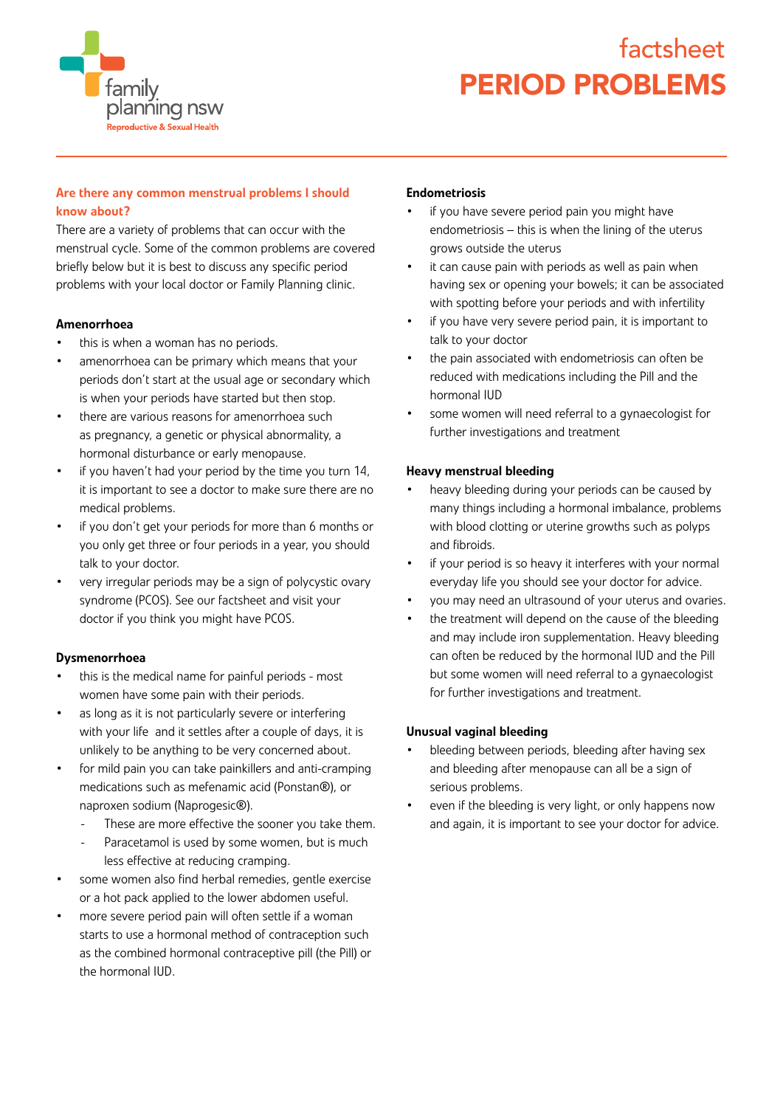

# factsheet PERIOD PROBLEMS

## Are there any common menstrual problems I should know about?

There are a variety of problems that can occur with the menstrual cycle. Some of the common problems are covered briefly below but it is best to discuss any specific period problems with your local doctor or Family Planning clinic.

#### Amenorrhoea

- this is when a woman has no periods.
- amenorrhoea can be primary which means that your periods don't start at the usual age or secondary which is when your periods have started but then stop.
- there are various reasons for amenorrhoea such as pregnancy, a genetic or physical abnormality, a hormonal disturbance or early menopause.
- if you haven't had your period by the time you turn 14, it is important to see a doctor to make sure there are no medical problems.
- if you don't get your periods for more than 6 months or you only get three or four periods in a year, you should talk to your doctor.
- very irregular periods may be a sign of polycystic ovary syndrome (PCOS). See our factsheet and visit your doctor if you think you might have PCOS.

#### Dysmenorrhoea

- this is the medical name for painful periods most women have some pain with their periods.
- as long as it is not particularly severe or interfering with your life and it settles after a couple of days, it is unlikely to be anything to be very concerned about.
- for mild pain you can take painkillers and anti-cramping medications such as mefenamic acid (Ponstan®), or naproxen sodium (Naprogesic®).
	- These are more effective the sooner you take them.
	- Paracetamol is used by some women, but is much less effective at reducing cramping.
- some women also find herbal remedies, gentle exercise or a hot pack applied to the lower abdomen useful.
- more severe period pain will often settle if a woman starts to use a hormonal method of contraception such as the combined hormonal contraceptive pill (the Pill) or the hormonal IUD.

#### Endometriosis

- if you have severe period pain you might have endometriosis – this is when the lining of the uterus grows outside the uterus
- it can cause pain with periods as well as pain when having sex or opening your bowels; it can be associated with spotting before your periods and with infertility
- if you have very severe period pain, it is important to talk to your doctor
- the pain associated with endometriosis can often be reduced with medications including the Pill and the hormonal IUD
- some women will need referral to a gynaecologist for further investigations and treatment

#### Heavy menstrual bleeding

- heavy bleeding during your periods can be caused by many things including a hormonal imbalance, problems with blood clotting or uterine growths such as polyps and fibroids.
- if your period is so heavy it interferes with your normal everyday life you should see your doctor for advice.
- you may need an ultrasound of your uterus and ovaries.
- the treatment will depend on the cause of the bleeding and may include iron supplementation. Heavy bleeding can often be reduced by the hormonal IUD and the Pill but some women will need referral to a gynaecologist for further investigations and treatment.

#### Unusual vaginal bleeding

- bleeding between periods, bleeding after having sex and bleeding after menopause can all be a sign of serious problems.
- even if the bleeding is very light, or only happens now and again, it is important to see your doctor for advice.